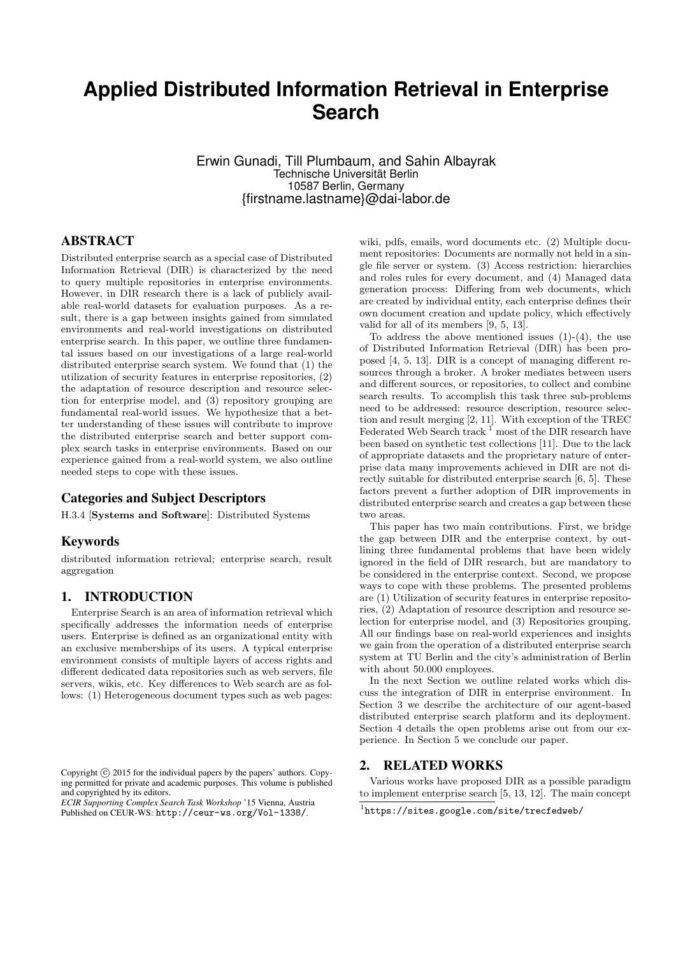# **Applied Distributed Information Retrieval in Enterprise Search**

Erwin Gunadi, Till Plumbaum, and Sahin Albayrak Technische Universität Berlin 10587 Berlin, Germany {firstname.lastname}@dai-labor.de

## ABSTRACT

Distributed enterprise search as a special case of Distributed Information Retrieval (DIR) is characterized by the need to query multiple repositories in enterprise environments. However, in DIR research there is a lack of publicly available real-world datasets for evaluation purposes. As a result, there is a gap between insights gained from simulated environments and real-world investigations on distributed enterprise search. In this paper, we outline three fundamental issues based on our investigations of a large real-world distributed enterprise search system. We found that (1) the utilization of security features in enterprise repositories, (2) the adaptation of resource description and resource selection for enterprise model, and (3) repository grouping are fundamental real-world issues. We hypothesize that a better understanding of these issues will contribute to improve the distributed enterprise search and better support complex search tasks in enterprise environments. Based on our experience gained from a real-world system, we also outline needed steps to cope with these issues.

# Categories and Subject Descriptors

H.3.4 [Systems and Software]: Distributed Systems

#### Keywords

distributed information retrieval; enterprise search, result aggregation

# 1. INTRODUCTION

Enterprise Search is an area of information retrieval which specifically addresses the information needs of enterprise users. Enterprise is defined as an organizational entity with an exclusive memberships of its users. A typical enterprise environment consists of multiple layers of access rights and different dedicated data repositories such as web servers, file servers, wikis, etc. Key differences to Web search are as follows: (1) Heterogeneous document types such as web pages:

*ECIR Supporting Complex Search Task Workshop* '15 Vienna, Austria Published on CEUR-WS: <http://ceur-ws.org/Vol-1338/>.

wiki, pdfs, emails, word documents etc. (2) Multiple document repositories: Documents are normally not held in a single file server or system. (3) Access restriction: hierarchies and roles rules for every document, and (4) Managed data generation process: Differing from web documents, which are created by individual entity, each enterprise defines their own document creation and update policy, which effectively valid for all of its members [\[9,](#page-2-0) [5,](#page-2-1) [13\]](#page-2-2).

To address the above mentioned issues  $(1)-(4)$ , the use of Distributed Information Retrieval (DIR) has been proposed [\[4,](#page-2-3) [5,](#page-2-1) [13\]](#page-2-2). DIR is a concept of managing different resources through a broker. A broker mediates between users and different sources, or repositories, to collect and combine search results. To accomplish this task three sub-problems need to be addressed: resource description, resource selection and result merging [\[2,](#page-2-4) [11\]](#page-2-5). With exception of the TREC Federated Web Search track <sup>[1](#page-0-0)</sup> most of the DIR research have been based on synthetic test collections [\[11\]](#page-2-5). Due to the lack of appropriate datasets and the proprietary nature of enterprise data many improvements achieved in DIR are not directly suitable for distributed enterprise search [\[6,](#page-2-6) [5\]](#page-2-1). These factors prevent a further adoption of DIR improvements in distributed enterprise search and creates a gap between these two areas.

This paper has two main contributions. First, we bridge the gap between DIR and the enterprise context, by outlining three fundamental problems that have been widely ignored in the field of DIR research, but are mandatory to be considered in the enterprise context. Second, we propose ways to cope with these problems. The presented problems are (1) Utilization of security features in enterprise repositories, (2) Adaptation of resource description and resource selection for enterprise model, and (3) Repositories grouping. All our findings base on real-world experiences and insights we gain from the operation of a distributed enterprise search system at TU Berlin and the city's administration of Berlin with about 50.000 employees.

In the next Section we outline related works which discuss the integration of DIR in enterprise environment. In Section [3](#page-1-0) we describe the architecture of our agent-based distributed enterprise search platform and its deployment. Section [4](#page-1-1) details the open problems arise out from our experience. In Section [5](#page-2-7) we conclude our paper.

#### 2. RELATED WORKS

Various works have proposed DIR as a possible paradigm to implement enterprise search [\[5,](#page-2-1) [13,](#page-2-2) [12\]](#page-2-8). The main concept

Copyright (C) 2015 for the individual papers by the papers' authors. Copying permitted for private and academic purposes. This volume is published and copyrighted by its editors.

<span id="page-0-0"></span><sup>1</sup> <https://sites.google.com/site/trecfedweb/>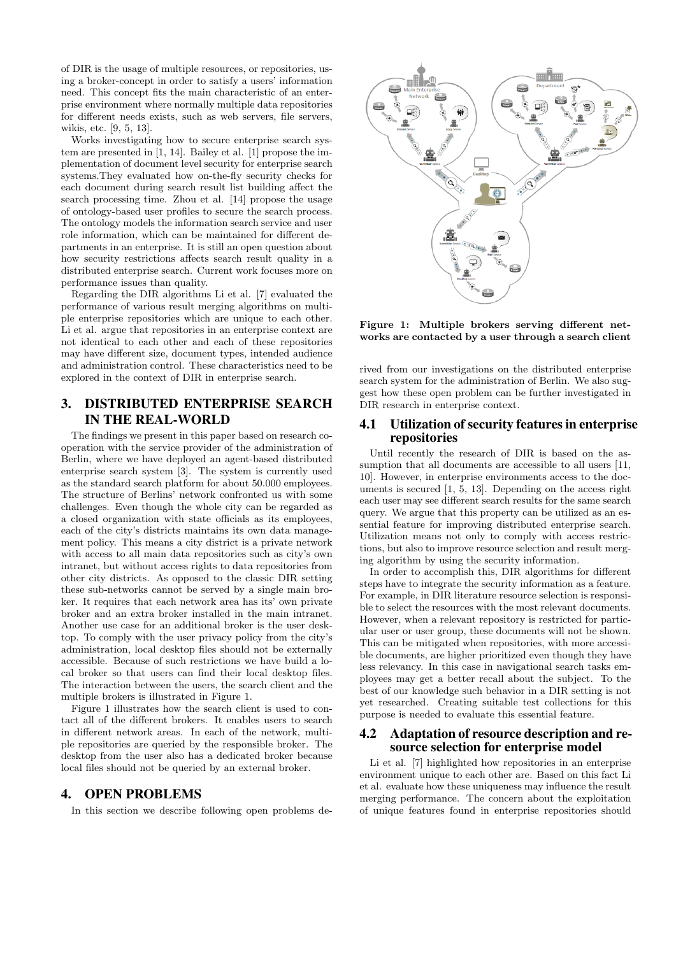of DIR is the usage of multiple resources, or repositories, using a broker-concept in order to satisfy a users' information need. This concept fits the main characteristic of an enterprise environment where normally multiple data repositories for different needs exists, such as web servers, file servers, wikis, etc. [\[9,](#page-2-0) [5,](#page-2-1) [13\]](#page-2-2).

Works investigating how to secure enterprise search system are presented in [\[1,](#page-2-9) [14\]](#page-2-10). Bailey et al. [\[1\]](#page-2-9) propose the implementation of document level security for enterprise search systems.They evaluated how on-the-fly security checks for each document during search result list building affect the search processing time. Zhou et al. [\[14\]](#page-2-10) propose the usage of ontology-based user profiles to secure the search process. The ontology models the information search service and user role information, which can be maintained for different departments in an enterprise. It is still an open question about how security restrictions affects search result quality in a distributed enterprise search. Current work focuses more on performance issues than quality.

Regarding the DIR algorithms Li et al. [\[7\]](#page-2-11) evaluated the performance of various result merging algorithms on multiple enterprise repositories which are unique to each other. Li et al. argue that repositories in an enterprise context are not identical to each other and each of these repositories may have different size, document types, intended audience and administration control. These characteristics need to be explored in the context of DIR in enterprise search.

# <span id="page-1-0"></span>3. DISTRIBUTED ENTERPRISE SEARCH IN THE REAL-WORLD

The findings we present in this paper based on research cooperation with the service provider of the administration of Berlin, where we have deployed an agent-based distributed enterprise search system [\[3\]](#page-2-12). The system is currently used as the standard search platform for about 50.000 employees. The structure of Berlins' network confronted us with some challenges. Even though the whole city can be regarded as a closed organization with state officials as its employees, each of the city's districts maintains its own data management policy. This means a city district is a private network with access to all main data repositories such as city's own intranet, but without access rights to data repositories from other city districts. As opposed to the classic DIR setting these sub-networks cannot be served by a single main broker. It requires that each network area has its' own private broker and an extra broker installed in the main intranet. Another use case for an additional broker is the user desktop. To comply with the user privacy policy from the city's administration, local desktop files should not be externally accessible. Because of such restrictions we have build a local broker so that users can find their local desktop files. The interaction between the users, the search client and the multiple brokers is illustrated in Figure [1.](#page-1-2)

Figure [1](#page-1-2) illustrates how the search client is used to contact all of the different brokers. It enables users to search in different network areas. In each of the network, multiple repositories are queried by the responsible broker. The desktop from the user also has a dedicated broker because local files should not be queried by an external broker.

#### <span id="page-1-1"></span>4. OPEN PROBLEMS

In this section we describe following open problems de-



<span id="page-1-2"></span>Figure 1: Multiple brokers serving different networks are contacted by a user through a search client

rived from our investigations on the distributed enterprise search system for the administration of Berlin. We also suggest how these open problem can be further investigated in DIR research in enterprise context.

# 4.1 Utilization of security features in enterprise repositories

Until recently the research of DIR is based on the assumption that all documents are accessible to all users  $[11,$ [10\]](#page-2-13). However, in enterprise environments access to the documents is secured [\[1,](#page-2-9) [5,](#page-2-1) [13\]](#page-2-2). Depending on the access right each user may see different search results for the same search query. We argue that this property can be utilized as an essential feature for improving distributed enterprise search. Utilization means not only to comply with access restrictions, but also to improve resource selection and result merging algorithm by using the security information.

In order to accomplish this, DIR algorithms for different steps have to integrate the security information as a feature. For example, in DIR literature resource selection is responsible to select the resources with the most relevant documents. However, when a relevant repository is restricted for particular user or user group, these documents will not be shown. This can be mitigated when repositories, with more accessible documents, are higher prioritized even though they have less relevancy. In this case in navigational search tasks employees may get a better recall about the subject. To the best of our knowledge such behavior in a DIR setting is not yet researched. Creating suitable test collections for this purpose is needed to evaluate this essential feature.

## 4.2 Adaptation of resource description and resource selection for enterprise model

Li et al. [\[7\]](#page-2-11) highlighted how repositories in an enterprise environment unique to each other are. Based on this fact Li et al. evaluate how these uniqueness may influence the result merging performance. The concern about the exploitation of unique features found in enterprise repositories should